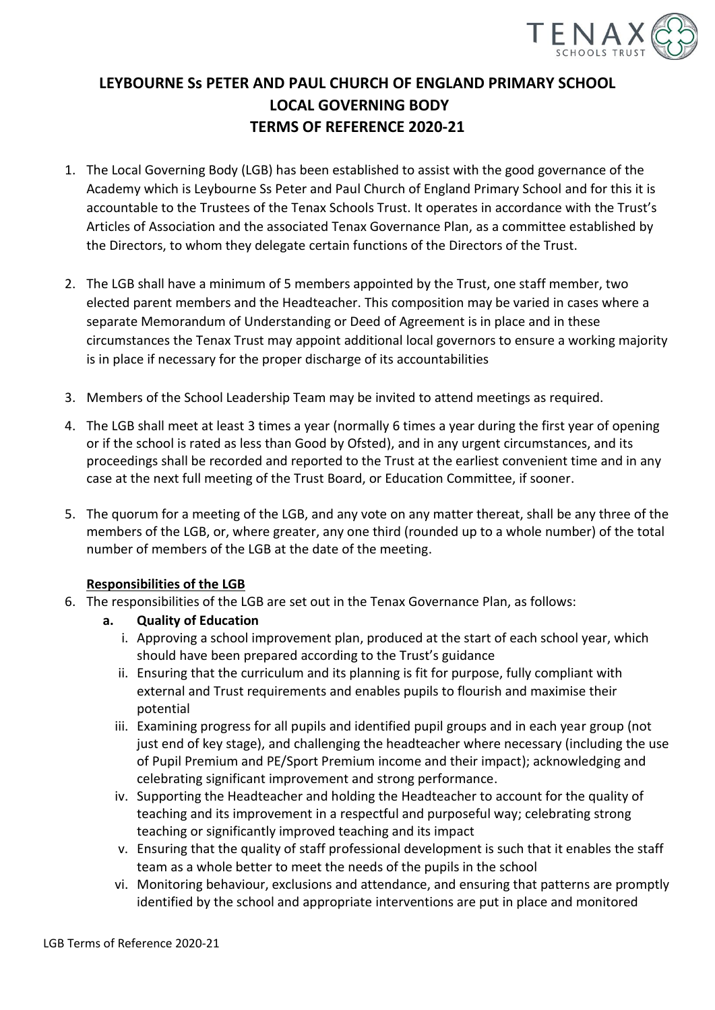

## **LEYBOURNE Ss PETER AND PAUL CHURCH OF ENGLAND PRIMARY SCHOOL LOCAL GOVERNING BODY TERMS OF REFERENCE 2020-21**

- 1. The Local Governing Body (LGB) has been established to assist with the good governance of the Academy which is Leybourne Ss Peter and Paul Church of England Primary School and for this it is accountable to the Trustees of the Tenax Schools Trust. It operates in accordance with the Trust's Articles of Association and the associated Tenax Governance Plan, as a committee established by the Directors, to whom they delegate certain functions of the Directors of the Trust.
- 2. The LGB shall have a minimum of 5 members appointed by the Trust, one staff member, two elected parent members and the Headteacher. This composition may be varied in cases where a separate Memorandum of Understanding or Deed of Agreement is in place and in these circumstances the Tenax Trust may appoint additional local governors to ensure a working majority is in place if necessary for the proper discharge of its accountabilities
- 3. Members of the School Leadership Team may be invited to attend meetings as required.
- 4. The LGB shall meet at least 3 times a year (normally 6 times a year during the first year of opening or if the school is rated as less than Good by Ofsted), and in any urgent circumstances, and its proceedings shall be recorded and reported to the Trust at the earliest convenient time and in any case at the next full meeting of the Trust Board, or Education Committee, if sooner.
- 5. The quorum for a meeting of the LGB, and any vote on any matter thereat, shall be any three of the members of the LGB, or, where greater, any one third (rounded up to a whole number) of the total number of members of the LGB at the date of the meeting.

## **Responsibilities of the LGB**

- 6. The responsibilities of the LGB are set out in the Tenax Governance Plan, as follows:
	- **a. Quality of Education**
		- i. Approving a school improvement plan, produced at the start of each school year, which should have been prepared according to the Trust's guidance
		- ii. Ensuring that the curriculum and its planning is fit for purpose, fully compliant with external and Trust requirements and enables pupils to flourish and maximise their potential
		- iii. Examining progress for all pupils and identified pupil groups and in each year group (not just end of key stage), and challenging the headteacher where necessary (including the use of Pupil Premium and PE/Sport Premium income and their impact); acknowledging and celebrating significant improvement and strong performance.
		- iv. Supporting the Headteacher and holding the Headteacher to account for the quality of teaching and its improvement in a respectful and purposeful way; celebrating strong teaching or significantly improved teaching and its impact
		- v. Ensuring that the quality of staff professional development is such that it enables the staff team as a whole better to meet the needs of the pupils in the school
		- vi. Monitoring behaviour, exclusions and attendance, and ensuring that patterns are promptly identified by the school and appropriate interventions are put in place and monitored